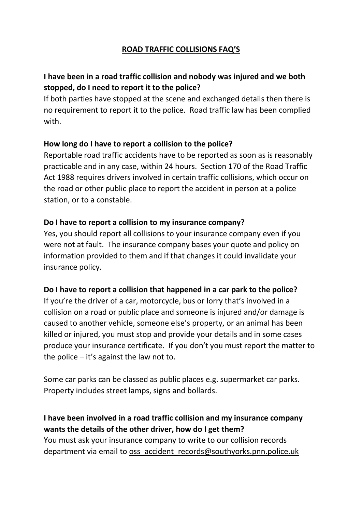## **ROAD TRAFFIC COLLISIONS FAQ'S**

## **I have been in a road traffic collision and nobody was injured and we both stopped, do I need to report it to the police?**

If both parties have stopped at the scene and exchanged details then there is no requirement to report it to the police. Road traffic law has been complied with.

#### **How long do I have to report a collision to the police?**

Reportable road traffic accidents have to be reported as soon as is reasonably practicable and in any case, within 24 hours. Section 170 of the Road Traffic Act 1988 requires drivers involved in certain traffic collisions, which occur on the road or other public place to report the accident in person at a police station, or to a constable.

#### **Do I have to report a collision to my insurance company?**

Yes, you should report all collisions to your insurance company even if you were not at fault. The insurance company bases your quote and policy on information provided to them and if that changes it could invalidate your insurance policy.

### **Do I have to report a collision that happened in a car park to the police?**

If you're the driver of a car, motorcycle, bus or lorry that's involved in a collision on a road or public place and someone is injured and/or damage is caused to another vehicle, someone else's property, or an animal has been killed or injured, you must stop and provide your details and in some cases produce your insurance certificate. If you don't you must report the matter to the police – it's against the law not to.

Some car parks can be classed as public places e.g. supermarket car parks. Property includes street lamps, signs and bollards.

# **I have been involved in a road traffic collision and my insurance company wants the details of the other driver, how do I get them?**

You must ask your insurance company to write to our collision records department via email to [oss\\_accident\\_records@southyorks.pnn.police.uk](mailto:oss_accident_records@southyorks.pnn.police.uk)